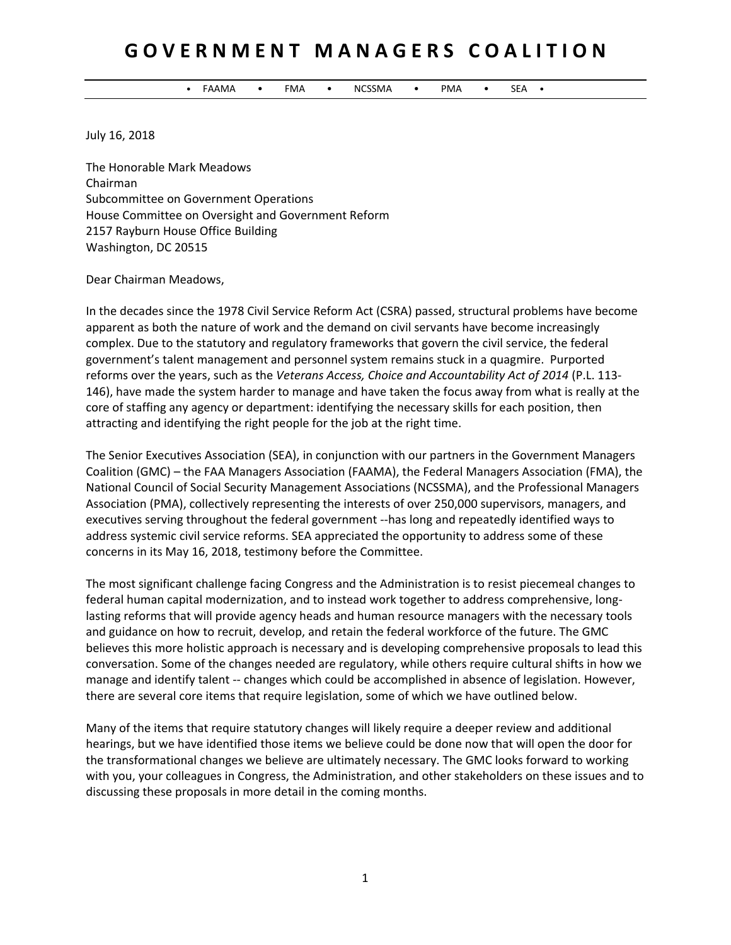# **G O V E R N M E N T M A N A G E R S C O A L I T I O N**

• FAAMA • FMA • NCSSMA • PMA • SEA •

July 16, 2018

The Honorable Mark Meadows Chairman Subcommittee on Government Operations House Committee on Oversight and Government Reform 2157 Rayburn House Office Building Washington, DC 20515

Dear Chairman Meadows,

In the decades since the 1978 Civil Service Reform Act (CSRA) passed, structural problems have become apparent as both the nature of work and the demand on civil servants have become increasingly complex. Due to the statutory and regulatory frameworks that govern the civil service, the federal government's talent management and personnel system remains stuck in a quagmire. Purported reforms over the years, such as the *Veterans Access, Choice and Accountability Act of 2014* (P.L. 113- 146), have made the system harder to manage and have taken the focus away from what is really at the core of staffing any agency or department: identifying the necessary skills for each position, then attracting and identifying the right people for the job at the right time.

The Senior Executives Association (SEA), in conjunction with our partners in the Government Managers Coalition (GMC) – the FAA Managers Association (FAAMA), the Federal Managers Association (FMA), the National Council of Social Security Management Associations (NCSSMA), and the Professional Managers Association (PMA), collectively representing the interests of over 250,000 supervisors, managers, and executives serving throughout the federal government --has long and repeatedly identified ways to address systemic civil service reforms. SEA appreciated the opportunity to address some of these concerns in its May 16, 2018, testimony before the Committee.

The most significant challenge facing Congress and the Administration is to resist piecemeal changes to federal human capital modernization, and to instead work together to address comprehensive, longlasting reforms that will provide agency heads and human resource managers with the necessary tools and guidance on how to recruit, develop, and retain the federal workforce of the future. The GMC believes this more holistic approach is necessary and is developing comprehensive proposals to lead this conversation. Some of the changes needed are regulatory, while others require cultural shifts in how we manage and identify talent -- changes which could be accomplished in absence of legislation. However, there are several core items that require legislation, some of which we have outlined below.

Many of the items that require statutory changes will likely require a deeper review and additional hearings, but we have identified those items we believe could be done now that will open the door for the transformational changes we believe are ultimately necessary. The GMC looks forward to working with you, your colleagues in Congress, the Administration, and other stakeholders on these issues and to discussing these proposals in more detail in the coming months.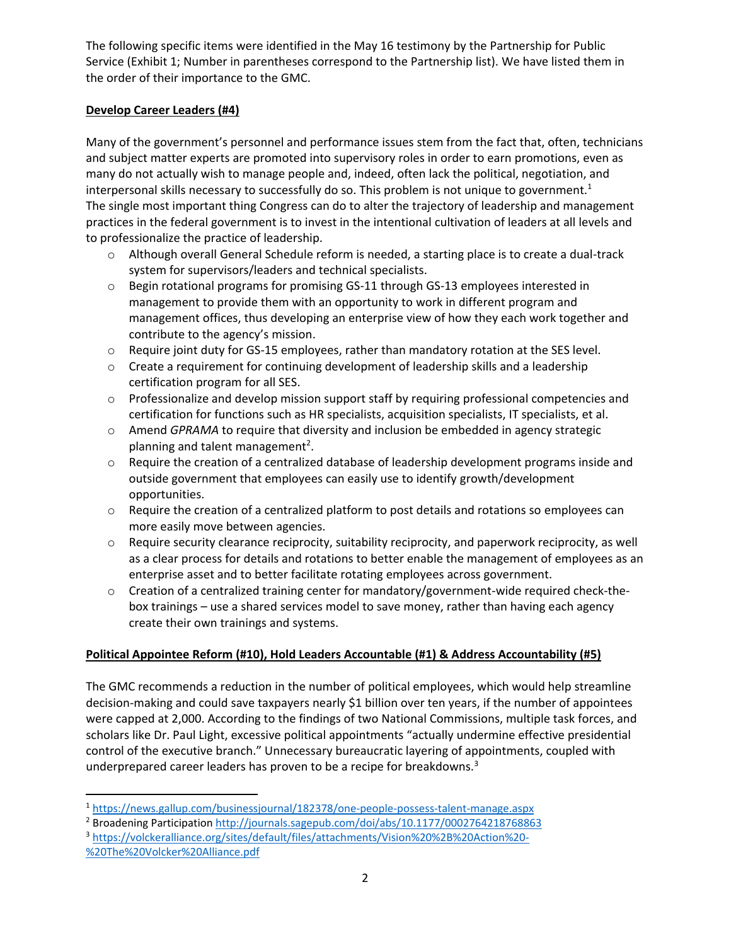The following specific items were identified in the May 16 testimony by the Partnership for Public Service (Exhibit 1; Number in parentheses correspond to the Partnership list). We have listed them in the order of their importance to the GMC.

## **Develop Career Leaders (#4)**

 $\overline{a}$ 

Many of the government's personnel and performance issues stem from the fact that, often, technicians and subject matter experts are promoted into supervisory roles in order to earn promotions, even as many do not actually wish to manage people and, indeed, often lack the political, negotiation, and interpersonal skills necessary to successfully do so. This problem is not unique to government.<sup>1</sup> The single most important thing Congress can do to alter the trajectory of leadership and management practices in the federal government is to invest in the intentional cultivation of leaders at all levels and to professionalize the practice of leadership.

- o Although overall General Schedule reform is needed, a starting place is to create a dual-track system for supervisors/leaders and technical specialists.
- $\circ$  Begin rotational programs for promising GS-11 through GS-13 employees interested in management to provide them with an opportunity to work in different program and management offices, thus developing an enterprise view of how they each work together and contribute to the agency's mission.
- o Require joint duty for GS-15 employees, rather than mandatory rotation at the SES level.
- o Create a requirement for continuing development of leadership skills and a leadership certification program for all SES.
- $\circ$  Professionalize and develop mission support staff by requiring professional competencies and certification for functions such as HR specialists, acquisition specialists, IT specialists, et al.
- o Amend *GPRAMA* to require that diversity and inclusion be embedded in agency strategic planning and talent management<sup>2</sup>.
- $\circ$  Require the creation of a centralized database of leadership development programs inside and outside government that employees can easily use to identify growth/development opportunities.
- $\circ$  Require the creation of a centralized platform to post details and rotations so employees can more easily move between agencies.
- $\circ$  Require security clearance reciprocity, suitability reciprocity, and paperwork reciprocity, as well as a clear process for details and rotations to better enable the management of employees as an enterprise asset and to better facilitate rotating employees across government.
- o Creation of a centralized training center for mandatory/government-wide required check-thebox trainings – use a shared services model to save money, rather than having each agency create their own trainings and systems.

## **Political Appointee Reform (#10), Hold Leaders Accountable (#1) & Address Accountability (#5)**

The GMC recommends a reduction in the number of political employees, which would help streamline decision-making and could save taxpayers nearly \$1 billion over ten years, if the number of appointees were capped at 2,000. According to the findings of two National Commissions, multiple task forces, and scholars like Dr. Paul Light, excessive political appointments "actually undermine effective presidential control of the executive branch." Unnecessary bureaucratic layering of appointments, coupled with underprepared career leaders has proven to be a recipe for breakdowns.<sup>3</sup>

<sup>3</sup> [https://volckeralliance.org/sites/default/files/attachments/Vision%20%2B%20Action%20-](https://volckeralliance.org/sites/default/files/attachments/Vision%20%2B%20Action%20-%20The%20Volcker%20Alliance.pdf) [%20The%20Volcker%20Alliance.pdf](https://volckeralliance.org/sites/default/files/attachments/Vision%20%2B%20Action%20-%20The%20Volcker%20Alliance.pdf)

<sup>1</sup> <https://news.gallup.com/businessjournal/182378/one-people-possess-talent-manage.aspx>

<sup>2</sup> Broadening Participatio[n http://journals.sagepub.com/doi/abs/10.1177/0002764218768863](http://journals.sagepub.com/doi/abs/10.1177/0002764218768863)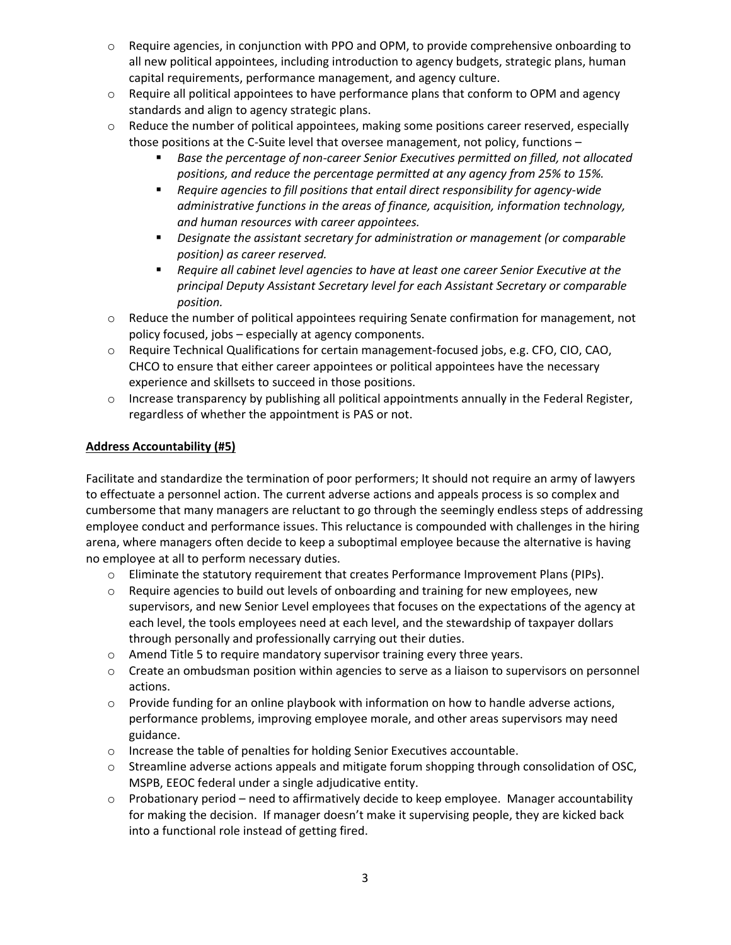- o Require agencies, in conjunction with PPO and OPM, to provide comprehensive onboarding to all new political appointees, including introduction to agency budgets, strategic plans, human capital requirements, performance management, and agency culture.
- $\circ$  Require all political appointees to have performance plans that conform to OPM and agency standards and align to agency strategic plans.
- $\circ$  Reduce the number of political appointees, making some positions career reserved, especially those positions at the C-Suite level that oversee management, not policy, functions –
	- *Base the percentage of non-career Senior Executives permitted on filled, not allocated positions, and reduce the percentage permitted at any agency from 25% to 15%.*
	- *Require agencies to fill positions that entail direct responsibility for agency-wide administrative functions in the areas of finance, acquisition, information technology, and human resources with career appointees.*
	- *Designate the assistant secretary for administration or management (or comparable position) as career reserved.*
	- *Require all cabinet level agencies to have at least one career Senior Executive at the principal Deputy Assistant Secretary level for each Assistant Secretary or comparable position.*
- $\circ$  Reduce the number of political appointees requiring Senate confirmation for management, not policy focused, jobs – especially at agency components.
- o Require Technical Qualifications for certain management-focused jobs, e.g. CFO, CIO, CAO, CHCO to ensure that either career appointees or political appointees have the necessary experience and skillsets to succeed in those positions.
- $\circ$  Increase transparency by publishing all political appointments annually in the Federal Register, regardless of whether the appointment is PAS or not.

## **Address Accountability (#5)**

Facilitate and standardize the termination of poor performers; It should not require an army of lawyers to effectuate a personnel action. The current adverse actions and appeals process is so complex and cumbersome that many managers are reluctant to go through the seemingly endless steps of addressing employee conduct and performance issues. This reluctance is compounded with challenges in the hiring arena, where managers often decide to keep a suboptimal employee because the alternative is having no employee at all to perform necessary duties.

- o Eliminate the statutory requirement that creates Performance Improvement Plans (PIPs).
- o Require agencies to build out levels of onboarding and training for new employees, new supervisors, and new Senior Level employees that focuses on the expectations of the agency at each level, the tools employees need at each level, and the stewardship of taxpayer dollars through personally and professionally carrying out their duties.
- $\circ$  Amend Title 5 to require mandatory supervisor training every three years.
- o Create an ombudsman position within agencies to serve as a liaison to supervisors on personnel actions.
- $\circ$  Provide funding for an online playbook with information on how to handle adverse actions, performance problems, improving employee morale, and other areas supervisors may need guidance.
- o Increase the table of penalties for holding Senior Executives accountable.
- o Streamline adverse actions appeals and mitigate forum shopping through consolidation of OSC, MSPB, EEOC federal under a single adjudicative entity.
- $\circ$  Probationary period need to affirmatively decide to keep employee. Manager accountability for making the decision. If manager doesn't make it supervising people, they are kicked back into a functional role instead of getting fired.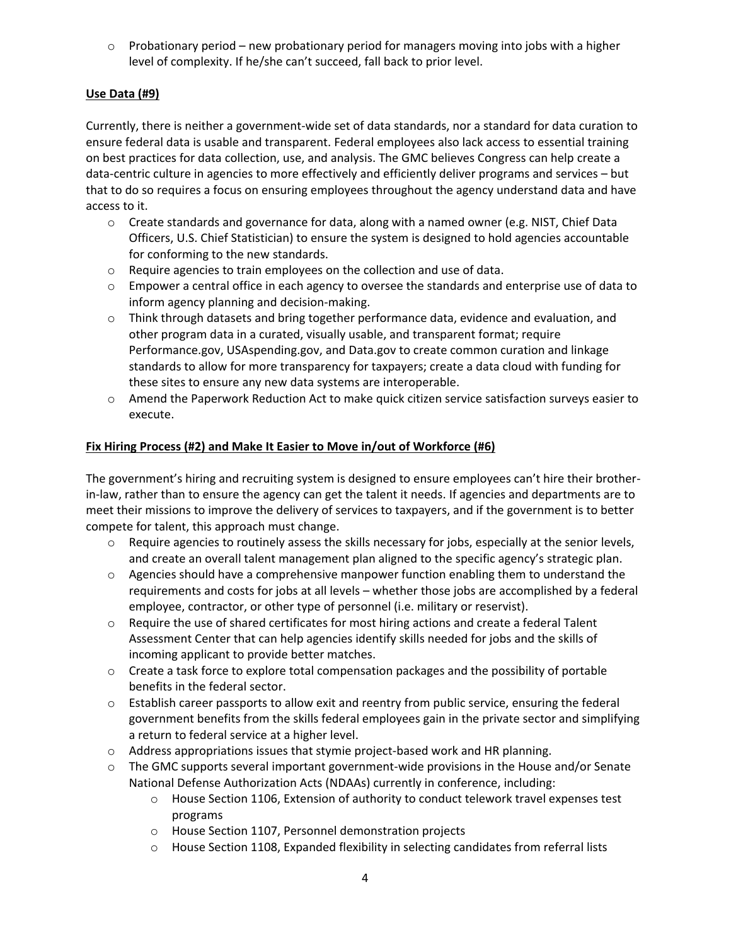$\circ$  Probationary period – new probationary period for managers moving into jobs with a higher level of complexity. If he/she can't succeed, fall back to prior level.

## **Use Data (#9)**

Currently, there is neither a government-wide set of data standards, nor a standard for data curation to ensure federal data is usable and transparent. Federal employees also lack access to essential training on best practices for data collection, use, and analysis. The GMC believes Congress can help create a data-centric culture in agencies to more effectively and efficiently deliver programs and services – but that to do so requires a focus on ensuring employees throughout the agency understand data and have access to it.

- o Create standards and governance for data, along with a named owner (e.g. NIST, Chief Data Officers, U.S. Chief Statistician) to ensure the system is designed to hold agencies accountable for conforming to the new standards.
- o Require agencies to train employees on the collection and use of data.
- $\circ$  Empower a central office in each agency to oversee the standards and enterprise use of data to inform agency planning and decision-making.
- $\circ$  Think through datasets and bring together performance data, evidence and evaluation, and other program data in a curated, visually usable, and transparent format; require Performance.gov, USAspending.gov, and Data.gov to create common curation and linkage standards to allow for more transparency for taxpayers; create a data cloud with funding for these sites to ensure any new data systems are interoperable.
- o Amend the Paperwork Reduction Act to make quick citizen service satisfaction surveys easier to execute.

#### **Fix Hiring Process (#2) and Make It Easier to Move in/out of Workforce (#6)**

The government's hiring and recruiting system is designed to ensure employees can't hire their brotherin-law, rather than to ensure the agency can get the talent it needs. If agencies and departments are to meet their missions to improve the delivery of services to taxpayers, and if the government is to better compete for talent, this approach must change.

- $\circ$  Require agencies to routinely assess the skills necessary for jobs, especially at the senior levels, and create an overall talent management plan aligned to the specific agency's strategic plan.
- o Agencies should have a comprehensive manpower function enabling them to understand the requirements and costs for jobs at all levels – whether those jobs are accomplished by a federal employee, contractor, or other type of personnel (i.e. military or reservist).
- $\circ$  Require the use of shared certificates for most hiring actions and create a federal Talent Assessment Center that can help agencies identify skills needed for jobs and the skills of incoming applicant to provide better matches.
- $\circ$  Create a task force to explore total compensation packages and the possibility of portable benefits in the federal sector.
- o Establish career passports to allow exit and reentry from public service, ensuring the federal government benefits from the skills federal employees gain in the private sector and simplifying a return to federal service at a higher level.
- o Address appropriations issues that stymie project-based work and HR planning.
- o The GMC supports several important government-wide provisions in the House and/or Senate National Defense Authorization Acts (NDAAs) currently in conference, including:
	- o House Section 1106, Extension of authority to conduct telework travel expenses test programs
	- o House Section 1107, Personnel demonstration projects
	- $\circ$  House Section 1108, Expanded flexibility in selecting candidates from referral lists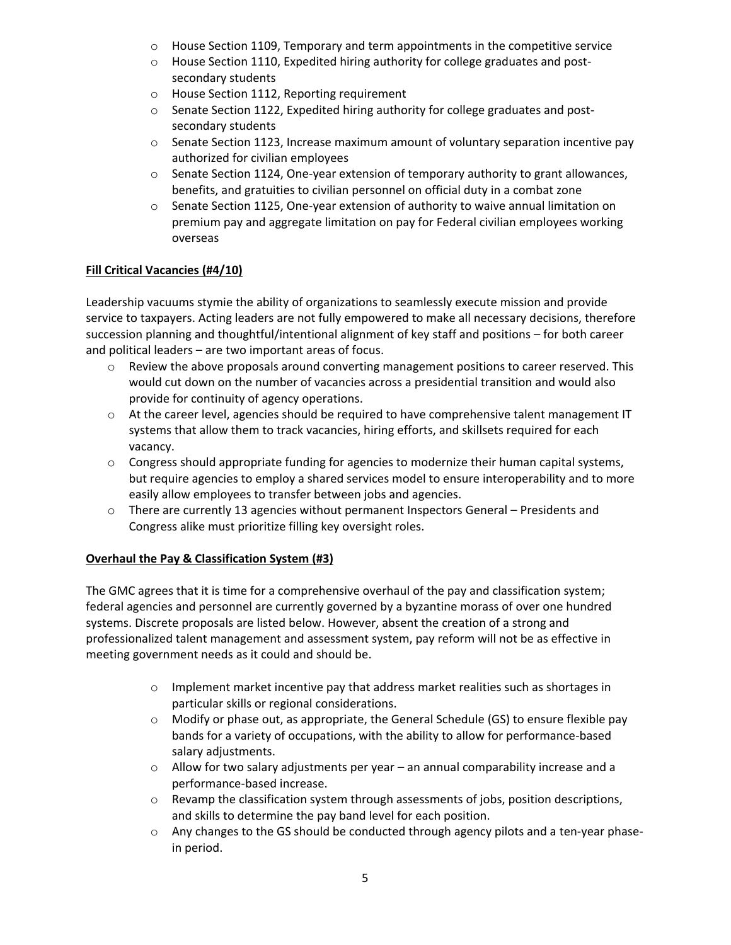- $\circ$  House Section 1109, Temporary and term appointments in the competitive service
- $\circ$  House Section 1110, Expedited hiring authority for college graduates and postsecondary students
- o House Section 1112, Reporting requirement
- o Senate Section 1122, Expedited hiring authority for college graduates and postsecondary students
- $\circ$  Senate Section 1123, Increase maximum amount of voluntary separation incentive pay authorized for civilian employees
- $\circ$  Senate Section 1124, One-year extension of temporary authority to grant allowances, benefits, and gratuities to civilian personnel on official duty in a combat zone
- o Senate Section 1125, One-year extension of authority to waive annual limitation on premium pay and aggregate limitation on pay for Federal civilian employees working overseas

#### **Fill Critical Vacancies (#4/10)**

Leadership vacuums stymie the ability of organizations to seamlessly execute mission and provide service to taxpayers. Acting leaders are not fully empowered to make all necessary decisions, therefore succession planning and thoughtful/intentional alignment of key staff and positions – for both career and political leaders – are two important areas of focus.

- $\circ$  Review the above proposals around converting management positions to career reserved. This would cut down on the number of vacancies across a presidential transition and would also provide for continuity of agency operations.
- $\circ$  At the career level, agencies should be required to have comprehensive talent management IT systems that allow them to track vacancies, hiring efforts, and skillsets required for each vacancy.
- $\circ$  Congress should appropriate funding for agencies to modernize their human capital systems, but require agencies to employ a shared services model to ensure interoperability and to more easily allow employees to transfer between jobs and agencies.
- $\circ$  There are currently 13 agencies without permanent Inspectors General Presidents and Congress alike must prioritize filling key oversight roles.

## **Overhaul the Pay & Classification System (#3)**

The GMC agrees that it is time for a comprehensive overhaul of the pay and classification system; federal agencies and personnel are currently governed by a byzantine morass of over one hundred systems. Discrete proposals are listed below. However, absent the creation of a strong and professionalized talent management and assessment system, pay reform will not be as effective in meeting government needs as it could and should be.

- $\circ$  Implement market incentive pay that address market realities such as shortages in particular skills or regional considerations.
- o Modify or phase out, as appropriate, the General Schedule (GS) to ensure flexible pay bands for a variety of occupations, with the ability to allow for performance-based salary adjustments.
- o Allow for two salary adjustments per year an annual comparability increase and a performance-based increase.
- $\circ$  Revamp the classification system through assessments of jobs, position descriptions, and skills to determine the pay band level for each position.
- $\circ$  Any changes to the GS should be conducted through agency pilots and a ten-year phasein period.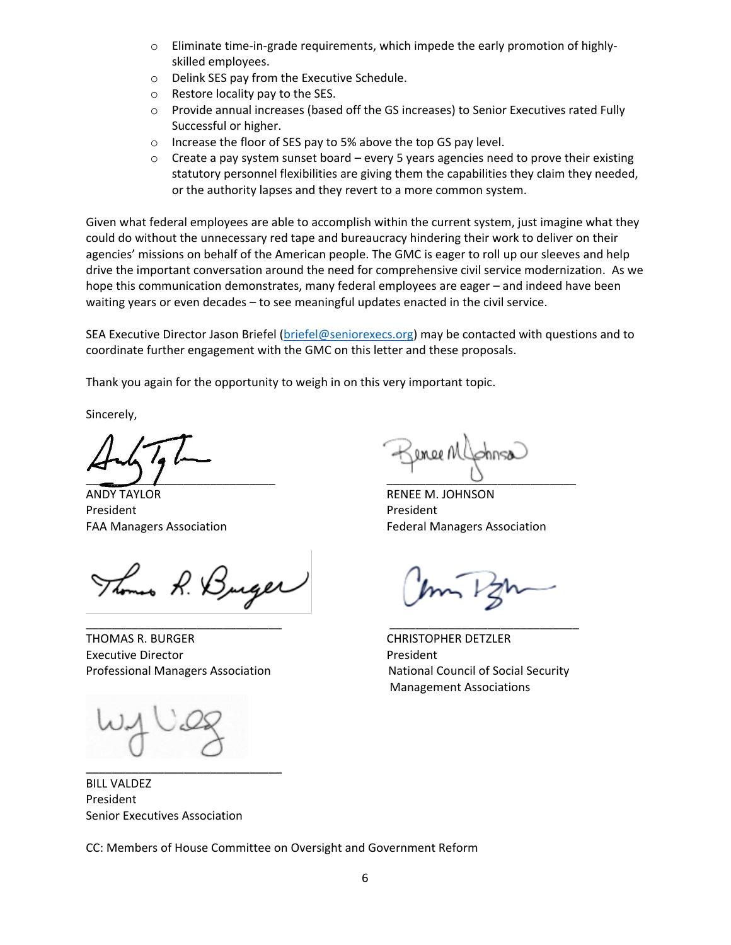- $\circ$  Eliminate time-in-grade requirements, which impede the early promotion of highlyskilled employees.
- o Delink SES pay from the Executive Schedule.
- o Restore locality pay to the SES.
- o Provide annual increases (based off the GS increases) to Senior Executives rated Fully Successful or higher.
- o Increase the floor of SES pay to 5% above the top GS pay level.
- $\circ$  Create a pay system sunset board every 5 years agencies need to prove their existing statutory personnel flexibilities are giving them the capabilities they claim they needed, or the authority lapses and they revert to a more common system.

Given what federal employees are able to accomplish within the current system, just imagine what they could do without the unnecessary red tape and bureaucracy hindering their work to deliver on their agencies' missions on behalf of the American people. The GMC is eager to roll up our sleeves and help drive the important conversation around the need for comprehensive civil service modernization. As we hope this communication demonstrates, many federal employees are eager – and indeed have been waiting years or even decades – to see meaningful updates enacted in the civil service.

SEA Executive Director Jason Briefel [\(briefel@seniorexecs.org\)](mailto:briefel@seniorexecs.org) may be contacted with questions and to coordinate further engagement with the GMC on this letter and these proposals.

Thank you again for the opportunity to weigh in on this very important topic.

Sincerely,

 $\overline{\phantom{a}}$ 

ANDY TAYLOR **EXECUTE 12 IN TAN ANDER MENEE M. JOHNSON** President President President

Thomas R. Burger

THOMAS R. BURGER CHRISTOPHER DETZLER Executive Director **President** Professional Managers Association National Council of Social Security

nee M

FAA Managers Association **Federal Managers Association** 

Management Associations

BILL VALDEZ President Senior Executives Association

\_\_\_\_\_\_\_\_\_\_\_\_\_\_\_\_\_\_\_\_\_\_\_\_\_\_\_\_\_\_

CC: Members of House Committee on Oversight and Government Reform

\_\_\_\_\_\_\_\_\_\_\_\_\_\_\_\_\_\_\_\_\_\_\_\_\_\_\_\_\_\_ \_\_\_\_\_\_\_\_\_\_\_\_\_\_\_\_\_\_\_\_\_\_\_\_\_\_\_\_\_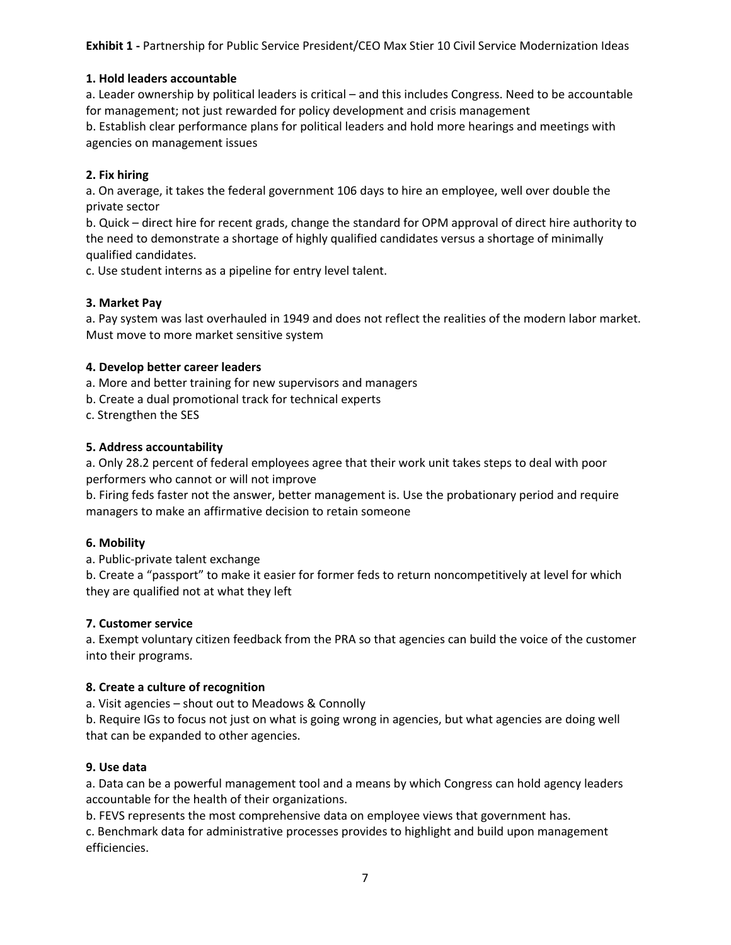**Exhibit 1 -** Partnership for Public Service President/CEO Max Stier 10 Civil Service Modernization Ideas

#### **1. Hold leaders accountable**

a. Leader ownership by political leaders is critical – and this includes Congress. Need to be accountable for management; not just rewarded for policy development and crisis management

b. Establish clear performance plans for political leaders and hold more hearings and meetings with agencies on management issues

#### **2. Fix hiring**

a. On average, it takes the federal government 106 days to hire an employee, well over double the private sector

b. Quick – direct hire for recent grads, change the standard for OPM approval of direct hire authority to the need to demonstrate a shortage of highly qualified candidates versus a shortage of minimally qualified candidates.

c. Use student interns as a pipeline for entry level talent.

#### **3. Market Pay**

a. Pay system was last overhauled in 1949 and does not reflect the realities of the modern labor market. Must move to more market sensitive system

#### **4. Develop better career leaders**

a. More and better training for new supervisors and managers

b. Create a dual promotional track for technical experts

c. Strengthen the SES

#### **5. Address accountability**

a. Only 28.2 percent of federal employees agree that their work unit takes steps to deal with poor performers who cannot or will not improve

b. Firing feds faster not the answer, better management is. Use the probationary period and require managers to make an affirmative decision to retain someone

#### **6. Mobility**

a. Public-private talent exchange

b. Create a "passport" to make it easier for former feds to return noncompetitively at level for which they are qualified not at what they left

#### **7. Customer service**

a. Exempt voluntary citizen feedback from the PRA so that agencies can build the voice of the customer into their programs.

#### **8. Create a culture of recognition**

a. Visit agencies – shout out to Meadows & Connolly

b. Require IGs to focus not just on what is going wrong in agencies, but what agencies are doing well that can be expanded to other agencies.

#### **9. Use data**

a. Data can be a powerful management tool and a means by which Congress can hold agency leaders accountable for the health of their organizations.

b. FEVS represents the most comprehensive data on employee views that government has.

c. Benchmark data for administrative processes provides to highlight and build upon management efficiencies.